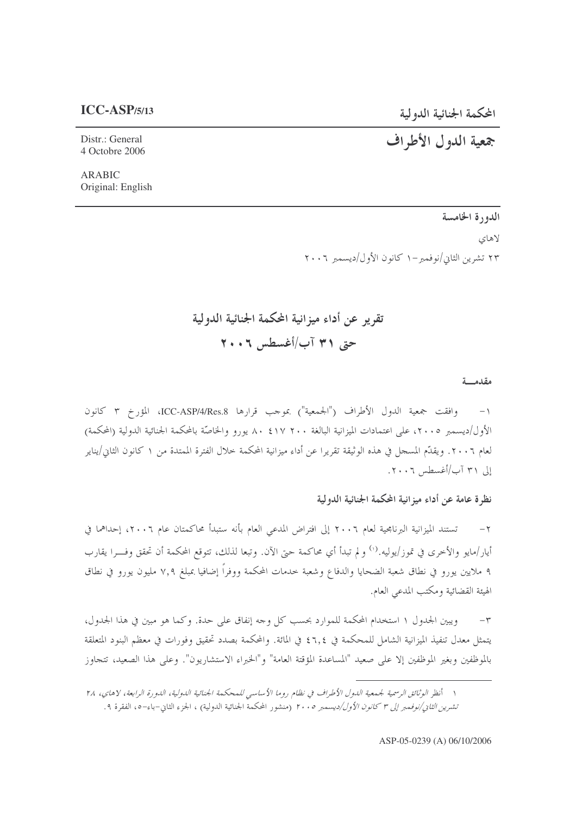المحكمة الجنائية الدولية

#### $ICC-ASP/5/13$

## جمعية الدول الأطراف

Distr.: General 4 Octobre 2006

**ARABIC** Original: English

> الدورة الخامسة لاهاي ۲۳ تشرین الثانی/نوفمبر –۱ کانون الأول/دیسمبر ۲۰۰۲

# تقرير عن أداء ميزانية المحكمة الجنائية الدولية حتى ٣١ آب/أغسطس ٢٠٠٦

#### مقدمسة

١- وافقت جمعية الدول الأطراف ("الجمعية") بموجب قرارها ICC-ASP/4/Res.8، المؤرخ ٣ كانون الأول/ديسمبر ٢٠٠٥، على اعتمادات الميزانية البالغة ٢٠٠ ١٧ ٢٠ . ٨ يورو والخاصَّة بالمحكمة الجنائية الدولية (المحكمة) لعام ٢٠٠٦. ويقدّم المسجل في هذه الوثيقة تقريرا عن أداء ميزانية المحكمة خلال الفترة الممتدة من ١ كانون الثاني/يناير إلى ٣١ آب/أغسطس ٢٠٠٦.

نظر ة عامة عن أداء ميز انية المحكمة الجنائية الدولية

تستند الميزانية البرنامجية لعام ٢٠٠٦ إلى افتراض المدعى العام بأنه ستبدأ محاكمتان عام ٢٠٠٦، إحداهما في  $-7$ أيار/مايو والأخرى في تموز/يوليه.‹') و لم تبدأ أي محاكمة حتى الآن. وتبعا لذلك، تتوقع المحكمة أن تحقق وفسرا يقارب ۹ ملايين يورو في نطاق شعبة الضحايا والدفاع وشعبة حدمات المحكمة ووفراً إضافيا بمبلغ ٧,٩ مليون يورو في نطاق الهيئة القضائية ومكتب المدعى العام.

ويبين الجدول ١ استخدام المحكمة للموارد بحسب كل وجه إنفاق على حدة. وكما هو مبين في هذا الجدول،  $-\tau$ يتمثل معدل تنفيذ الميزانية الشامل للمحكمة في ٢,٤ في المائة. والمحكمة بصدد تحقيق وفورات في معظم البنود المتعلقة بالموظفين وبغير الموظفين إلا على صعيد "المساعدة المؤقتة العامة" و"الخبراء الاستشاريون". وعلى هذا الصعيد، تتجاوز

١ أنظر الوثائق الرسمية لجمعية الدول الأطراف في نظام روما الأساسي للمحكمة الجنائية الدولية، الدورة الرابعة، لاهاي، ٢٨ تشرين *الثانى/نوفمبر إلى ٣ كانون الأول/ديسمبر ٢٠٠٥* (منشور المحكمة الجنائية الدولية) ، الجزء الثان-باء-٥، الفقرة ٩.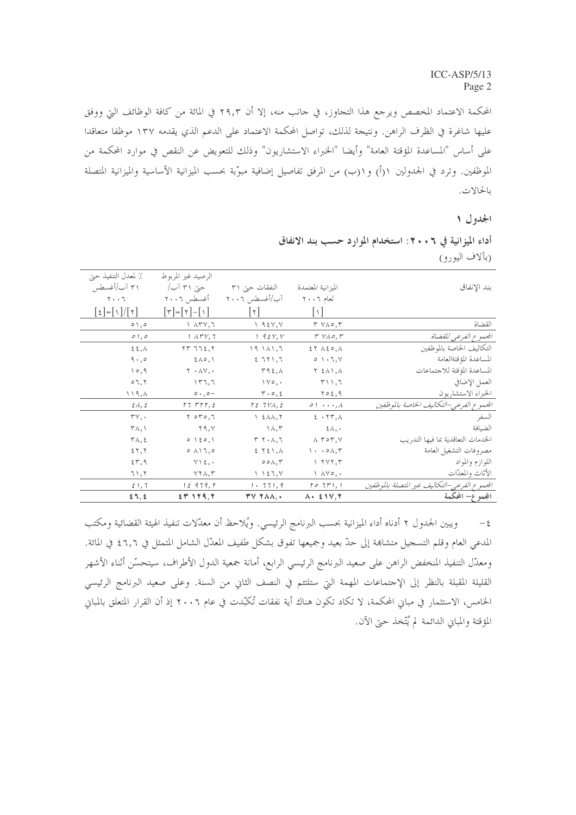المحكمة الاعتماد المخصص ويرجع هذا التجاوز، في جانب منه، إلا أن ٢٩٫٣ في المائة من كافة الوظائف التي ووفق عليها شاغرة في الظرف الراهن. ونتيجة لذلك، تواصل المحكمة الاعتماد على الدعم الذي يقدمه ١٣٧ موظفا متعاقدا على أساس "المساعدة المؤقتة العامة" وأيضا "الخبراء الاستشاريون" وذلك للتعويض عن النقص في موارد المحكمة من الموظفين. وترد في الجدولين ١(أ) و١(ب) من المرفق تفاصيل إضافية مبوَّبة بحسب الميزانية الأساسية والميزانية المتصلة بالحالات.

#### الجدول ١

أداء الميزانية في ٢٠٠٦: استخدام الموارد حسب بند الانفاق (بآلاف اليورو)

|                                               |                                                        |                                                   | الرصيد غير المربوط                         | ٪ لمعدل التنفيذ حتى                                                              |
|-----------------------------------------------|--------------------------------------------------------|---------------------------------------------------|--------------------------------------------|----------------------------------------------------------------------------------|
| بند الإنفاق                                   | الميزانية المعتمدة                                     | النفقات حتى ٣١                                    | حتی ۳۱ آب/                                 | ۳۱ آب/أغسطس                                                                      |
|                                               | لعام ٢٠٠٦                                              | آب/أغسطس ٢٠٠٦                                     | أغسطس ٢٠٠٦                                 | $\mathbf{Y} \cdot \cdot \mathbf{Y}$                                              |
|                                               | $\lceil \sqrt{2} \rceil$                               | $\lceil \tau \rceil$                              | $[\uparrow] = [\uparrow] - [\uparrow]$     | $\left[\frac{1}{2}\right] = \left[\frac{1}{2}\right] / \left[\frac{1}{2}\right]$ |
| القضاة                                        | $\uparrow \vee \wedge \circ \wedge \uparrow$           | 1.95Y, Y                                          | $\lambda$ $\lambda$ ۳ $\gamma$ , $\lambda$ | $\circ \wedge, \circ$                                                            |
| المحموع الفرعي للقضاة                         | $r$ $V \wedge \circ$ , $r$                             | 1.95Y, Y                                          | $1.1$ $\mu$ $V, 7$                         | $\circ$ ), $\circ$                                                               |
| التكاليف الخاصة بالموظفين                     | $27 \wedge 20, \wedge$                                 | 19111,7                                           | $\gamma \gamma$ $\gamma$ $\gamma$ $\gamma$ | $\epsilon$ $\epsilon$ , $\lambda$                                                |
| المساعدة المؤقتةالعامة                        | $0 \rightarrow 7, 7$                                   | 271,7                                             | $2\lambda$ o, $\lambda$                    | $9 \cdot 90$                                                                     |
| المساعدة المؤقتة للاجتماعات                   | $Y \n\leq \Lambda \setminus \Lambda$                   | $\tau$ 92, $\wedge$                               | $Y \cdot \Lambda V$ , .                    | 10,9                                                                             |
| العمل الإضافي                                 | $\uparrow \wedge \wedge, \uparrow$                     | $\vee \circ, \cdot$                               | 177,7                                      | $\circ$ 7, $\circ$                                                               |
| الخبراء الاستشاريون                           | $\gamma \circ \epsilon$ , 9                            | $\mathbf{r} \cdot \mathbf{0}, \mathbf{t}$         | $\circ \cdot$ , $\circ -$                  | ۱۱۹,۸                                                                            |
| الجموع الفرعي-التكاليف الخاصة بالموظفين       | 01A                                                    | $T\ell$ $7\gamma\lambda, \ell$                    | $rrrr, \xi$                                | $\mathcal{E}\Lambda, \mathcal{E}$                                                |
| السفر                                         | $E \cdot \tau \tau, \Lambda$                           | $\lambda$ $\epsilon$ $\lambda$ $\lambda$ , $\tau$ | $Y$ oro, $Y$                               | $\mathsf{r}\mathsf{v},\cdot$                                                     |
| الضيافة                                       | $\xi \wedge$ , $\cdot$                                 | $\wedge \wedge, \vee$                             | Y9, V                                      | $\mathsf{r}_{\wedge},\mathsf{r}$                                                 |
| الخدمات التعاقدية بما فيها التدريب            | $\Lambda$ $\tau$ or, $\gamma$                          | $Y Y \cdot \lambda, 7$                            | $0 \leq 0,1$                               | $\mathsf{r}\wedge,\mathsf{s}$                                                    |
| مصروفات التشغيل العامة                        | $\langle \cdot \cdot \cdot \circ \wedge, \tau \rangle$ | 551,0                                             | $\circ$ $\wedge$ $\wedge$ $\sim$ $\circ$   | 55,5                                                                             |
| اللوازم والمواد                               | Y Y Y, T                                               | $\circ \circ \wedge, \forall$                     | $Y \setminus \xi$ , $\cdot$                | 57,9                                                                             |
| الأثاث والمعدّات                              | $\wedge \wedge \vee \circ \wedge \cdot$                | $\setminus$ $\setminus$ $\xi$ $\top$ , $\vee$     | $YY\wedge, Y$                              | ٦١,٢                                                                             |
| الجمموع الفرعي-التكاليف غير المتصلة بالموظفين | $\Gamma$ o $7F$ ), $\Gamma$                            | 1.771,9                                           | 12979, r                                   | 51,7                                                                             |
| المجمه ع− المحکمة                             | $\Lambda$ . $\leq$ 1 V. T                              | <b>TV TAA.</b>                                    | $54$ 129.7                                 | 27.5                                                                             |

ويبين الجدول ٢ أدناه أداء الميزانية بحسب البرنامج الرئيسي. ويُلاحظ أن معدّلات تنفيذ الهيئة القضائية ومكتب  $-\xi$ المدعى العام وقلم التسجيل متشاهة إلى حدّ بعيد وجميعها تفوق بشكل طفيف المعدّل الشامل المتمثل في ٦,٦ ٤ في المائة. ومعدّل التنفيذ المنخفض الراهن على صعيد البرنامج الرئيسي الرابع، أمانة جمعية الدول الأطراف، سيتحسّن أثناء الأشهر القليلة المقبلة بالنظر إلى الإحتماعات المهمة التي ستلتئم في النصف الثاني من السنة. وعلى صعيد البرنامج الرئيسي الخامس، الاستثمار في مباني المحكمة، لا تكاد تكون هناك أية نفقات تُكبّدت في عام ٢٠٠٦ إذ أن القرار المتعلق بالمباني المؤقتة والمباني الدائمة لم يُتّخذ حيّ الآن.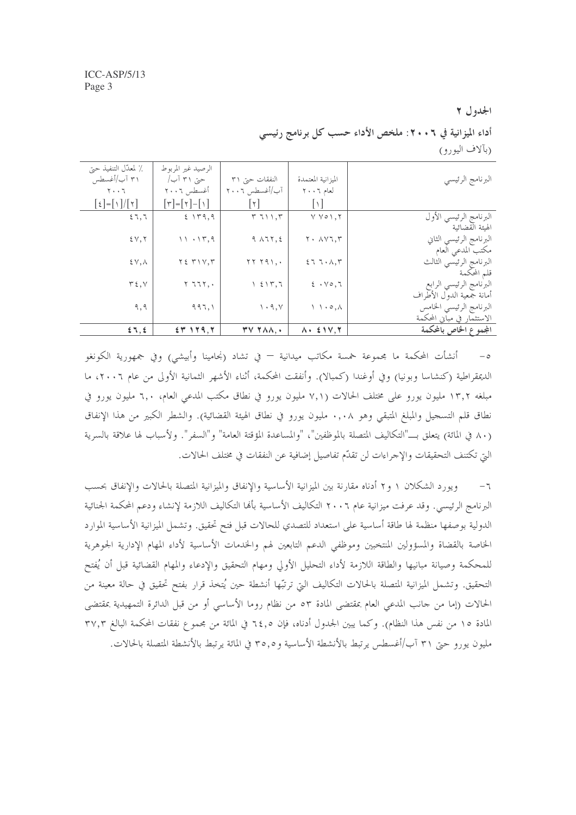الجدول ٢

أداء الميزانية في ٢٠٠٦: ملخص الأداء حسب كل برنامج رئيسي (بألاف اليورو)

| ٪ لمعدّل التنفيذ حتى                                                     | الرصيد غير المربوط         |                                                |                                            |                            |
|--------------------------------------------------------------------------|----------------------------|------------------------------------------------|--------------------------------------------|----------------------------|
| ۳۱ آب/أغسطس                                                              | حتی ۳۱ آب/                 | النفقات حتى ٣١                                 | الميزانية المعتمدة                         | البرنامج الرئيسي           |
| ۲۰۰٦                                                                     | أغسطس ٢٠٠٦                 | آب/أغسطس ٢٠٠٦                                  | لعام ٢٠٠٦                                  |                            |
| $\lbrack \xi \rbrack = \lbrack \setminus \rbrack / \lbrack \tau \rbrack$ | $[\tau] = [\tau] - [\tau]$ | l۲                                             | $\cup$                                     |                            |
| 57,7                                                                     | 5.149.9                    | T T11.7                                        | Y Y 0 1.5                                  | البرنامج الرئيسي الأول     |
|                                                                          |                            |                                                |                                            | الهبئة القضائبة            |
| 2Y,7                                                                     | 11.15,9                    | $9$ $\lambda$ $7$ $\zeta$ , $5$                | $Y \cdot \Lambda V$ $T, T$                 | البرنامج الرئيسي الثاني    |
|                                                                          |                            |                                                |                                            | مكتب المدعى العام          |
| $E(Y, \Lambda)$                                                          | $Y \xi$ $Y \setminus V, Y$ | $YY Y 91, \cdot$                               | 57.7.47                                    | البرنامج الرئيسي الثالث    |
|                                                                          |                            |                                                |                                            | قلم المحكمة                |
| $\tau$ {, $\vee$                                                         | $Y$ $777,$ .               | $\lambda$ $\epsilon$ $\lambda$ $\tau$ , $\tau$ | $2 \cdot \sqrt{0}$ , $7$                   | البرنامج الرئيسي الرابع    |
|                                                                          |                            |                                                |                                            | أمانة جمعية الدول الأطراف  |
| ۹,۹                                                                      | 997,1                      | $\mathcal{N} \cdot \mathcal{A}, \mathcal{N}$   | $\wedge \wedge \cdot \circ \wedge$         | البرنامج الرئيسي الخامس    |
|                                                                          |                            |                                                |                                            | الاستثمار في مباني المحكمة |
| 57, 5                                                                    | $25$ 129.7                 | $\mathbf{r} \vee \mathbf{r} \wedge \mathbf{r}$ | $\lambda$ , $\epsilon$ $\gamma$ , $\gamma$ | المجموع الخاص بالمحكمة     |

أنشأت المحكمة ما مجموعة خمسة مكاتب ميدانية — في تشاد (نجامينا وأبيشي) وفي جمهورية الكونغو الديمقراطية (كنشاسا وبونيا) وفي أوغندا (كمبالا). وأنفقت المحكمة، أثناء الأشهر الثمانية الأولى من عام ٢٠٠٦، ما مبلغه ١٣٫٢ مليون يورو على مختلف الحالات (٧,١ مليون يورو في نطاق مكتب المدعى العام، ٦,٠ مليون يورو في نطاق قلم التسجيل والمبلغ المتبقى وهو ٠,٠٨ مليون يورو في نطاق الهيئة القضائية). والشطر الكبير من هذا الإنفاق (٨٠ في المائة) يتعلق بـــ"التكاليف المتصلة بالموظفين"، "والمساعدة المؤقتة العامة" و"السفر". ولأسباب لها علاقة بالسرية التي تكتنف التحقيقات والإجراءات لن تقدَّم تفاصيل إضافية عن النفقات في مختلف الحالات.

ويورد الشكلان ١ و٢ أدناه مقارنة بين الميزانية الأساسية والإنفاق والميزانية المتصلة بالحالات والإنفاق بحسب  $-7$ البرنامج الرئيسي. وقد عرفت ميزانية عام ٢٠٠٦ التكاليف الأساسية بألها التكاليف اللازمة لإنشاء ودعم المحكمة الجنائية الدولية بوصفها منظمة لها طاقة أساسية على استعداد للتصدي للحالات قبل فتح تحقيق. وتشمل الميزانية الأساسية الموارد الخاصة بالقضاة والمسؤولين المنتخبين وموظفي الدعم التابعين لهم والخدمات الأساسية لأداء المهام الإدارية الجوهرية للمحكمة وصيانة مبانيها والطاقة اللازمة لأداء التحليل الأولى ومهام التحقيق والإدعاء والمهام القضائية قبل أن يُفتح التحقيق. وتشمل الميزانية المتصلة بالحالات التكاليف التي ترتبُّها أنشطة حين يُتخذ قرار بفتح تحقيق في حالة معينة من الحالات (إما من حانب المدعى العام بمقتضى المادة ٥٣ من نظام روما الأساسي أو من قبل الدائرة التمهيدية بمقتضى المادة ١٥ من نفس هذا النظام). وكما يبين الجدول أدناه، فإن ٦٤٫٥ في المائة من مجموع نفقات المحكمة البالغ ٣٧,٣ مليون يورو حجّ ٣١ آب/أغسطس يرتبط بالأنشطة الأساسية و ٣٥,٥ في المائة يرتبط بالأنشطة المتصلة بالحالات.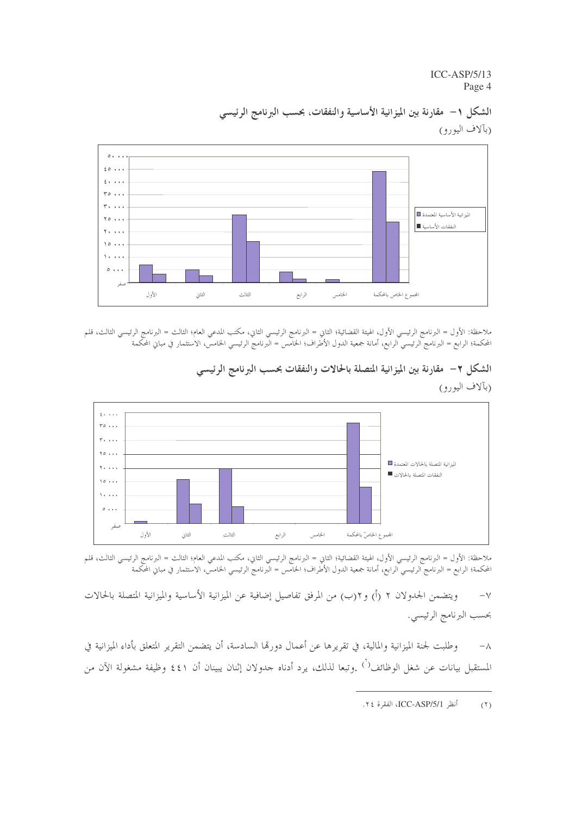$ICC-ASP/5/13$ Page 4



الشكل ١– مقارنة بين الميزانية الأساسية والنفقات، بحسب البرنامج الرئيسي (بآلاف اليورو)

ملاحظة: الأول = البرنامج الرئيسي الأول، الهيئة القضائية؛ الثاني = البرنامج الرئيسي الثاني، مكتب المدعي العام؛ الثالث = البرنامج الرئيسي الثالث، قلم المحكمة؛ الرابع = البرنامج الرئيسي الرابع، أمانة جمعية الدول الأطراف؛ الحامس = البرنامج الرئيسي الحامس، الاستثمار في مباني المحكمة



الشكل ٢– مقارنة بين الميزانية المتصلة بالحالات والنفقات بحسب البرنامج الرئيسي

(بآلاف اليورو)

ملاحظة: الأول = البرنامج الرئيسي الأول، الهيئة القضائية؛ الثاني = البرنامج الرئيسي الثاني، مكتب المدعي العام؛ الثالث = البرنامج الرئيسي الثالث، قلم المحكمة؛ الرابع = البرنامج الرئيسي الرابع، أمانة جمعية الدول الأطراف؛ الحامس = البّرنامج الرئيسي الحامسّ الاستثمار في مباني المحكمة

ويتضمن الجدولان ٢ (أ) و٢(ب) من المرفق تفاصيل إضافية عن الميزانية الأساسية والميزانية المتصلة بالحالات  $-\gamma$ بحسب البرنامج الرئيسي.

وطلبت لجنة الميزانية والمالية، في تقريرها عن أعمال دورها السادسة، أن يتضمن التقرير المتعلق بأداء الميزانية في  $-\lambda$ المستقبل بيانات عن شغل الوظائف<sup>( )</sup> .وتبعا لذلك، يرد أدناه حدولان إثنان يبينان أن ٤٤١ وظيفة مشغولة الآن من

أنظر ICC-ASP/5/1، الفقرة ٢٤.  $(1)$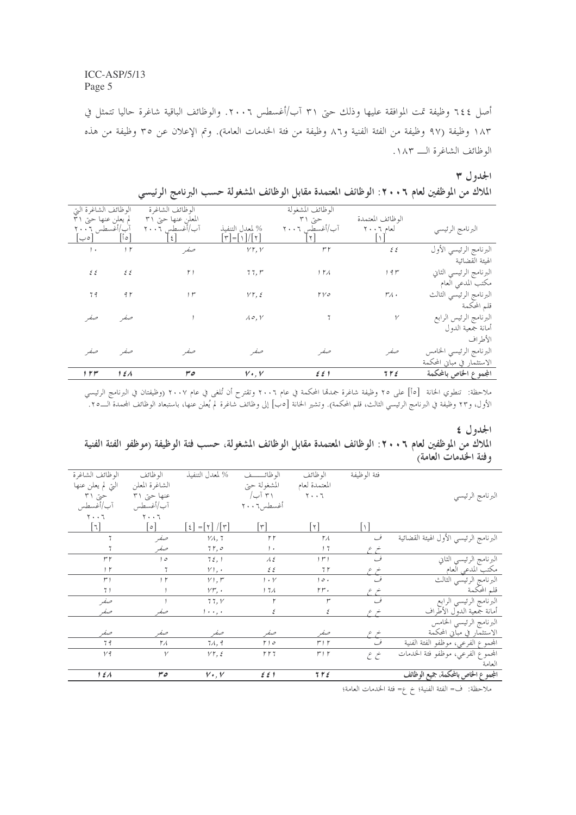أصل ٢٤٤ وظيفة تمت الموافقة عليها وذلك حتى ٣١ آب/أغسطس ٢٠٠٦. والوظائف الباقية شاغرة حاليا تتمثل في ١٨٣ وظيفة (٩٧ وظيفة من الفئة الفنية و٨٦ وظيفة من فئة الخدمات العامة). وتم الإعلان عن ٣٥ وظيفة من هذه الوظائف الشاغرة الــ ١٨٣.

## الجدول ٣

| الملاك من الموظفين لعام ٢٠٠٦: الوظائف المعتمدة مقابل الوظائف المشغولة حسب البرنامج الرئيسي |  |  |  |
|--------------------------------------------------------------------------------------------|--|--|--|
|--------------------------------------------------------------------------------------------|--|--|--|

| الوظائف الشاغرة التي |                | الوظائف الشاغرة    |                                  | الوظائف المشغولة      |                     |                            |
|----------------------|----------------|--------------------|----------------------------------|-----------------------|---------------------|----------------------------|
| لم يعلن عنها حتى ٣١  |                | المعلن عنها حتى ٣١ |                                  | حتی ۳۱                | الوظائف المعتمدة    |                            |
| آب/أغسطس ٢٠٠٦        |                | آب/أغسطس ٢٠٠٦      | % لمعدل التنفيذ                  | آب/أغسطس ٢٠٠٦         | لعام ٦٠٠٦           | البرنامج الرئيسي           |
| ەب                   | ة أ            | $\zeta$            | $[\tau]$ - $[\wedge] / [\gamma]$ |                       |                     |                            |
| $1 +$                | 1 <sub>r</sub> | صفير               | VT, V                            | $r\,r$                | $\mathcal{E}$       | البرنامج الرئيسي الأول     |
|                      |                |                    |                                  |                       |                     | الهيئة القضائية            |
| ٤٤                   | $\epsilon$     | $\uparrow$ )       | 77, r                            | 1 T A                 | 19r                 | البرنامج الرئيسي الثاني    |
|                      |                |                    |                                  |                       |                     | مكتب المدعي العام          |
| 79                   | 9 <sub>1</sub> | , r                | $VT, \xi$                        | ۲۷٥                   | $r_{\mathcal{A}}$ . | البرنامج الرئيسي الثالث    |
|                      |                |                    |                                  |                       |                     | قلم المحكمة                |
| حبفه                 | صفر            |                    | $\Lambda$ o, V                   |                       | $\mathcal V$        | البرنامج الرئيس الرابع     |
|                      |                |                    |                                  |                       |                     | أمانة جمعية الدول          |
|                      |                |                    |                                  |                       |                     | الأطراف                    |
| صفر                  | صفر            | صف                 | صفہ                              | صفر                   | صفر                 | البرنامج الرئيسي الخامس    |
|                      |                |                    |                                  |                       |                     | الاستثمار في مباني المحكمة |
| $1 + r$              | 151            | ەس                 | $V \cdot V$                      | $\epsilon \epsilon$ ) | 792                 | المجموع الخاص بالمحكمة     |

ملاحظة: تنطوي الخانة [٥أ] على ٢٥ وظيفة شاغرة جمدقما المحكمة في عام ٢٠٠٦ وتقترح أن تُلغى في عام ٢٠٠٧ (وظيفتان في البرنامج الرئيسي<br>الأول، و٢٣ وظيفة في البرنامج الرئيسي الثالث، قلم المحكمة). وتشير الخانة [٥ب] إلى وظائف شاغ

#### الجدول ٤

### الملاك من الموظفين لعام ٢ • ٢٠ : الوظائف المعتمدة مقابل الوظائف المشغولة، حسب فئة الوظيفة (موظفو الفئة الفنية وفئة الخدمات العامة)

| الوظائف<br>الوظائف الشاغرة                                     | % لمعدل التنفيذ                               | الوظائــــف           | الوظائف                       | فئة الوظيفة |                                             |
|----------------------------------------------------------------|-----------------------------------------------|-----------------------|-------------------------------|-------------|---------------------------------------------|
| التي لم يعلن عنها<br>الشاغرة المعلن                            |                                               | المشغولة حبتى         | المعتمدة لعام                 |             |                                             |
| عنها حتى ٣١<br>حتی ۳۱                                          |                                               | ۳۱ آب/                | $\mathbf{y} \cdot \mathbf{y}$ |             | البرنامج الرئيسي                            |
| آب/أغسطس<br>آب/أغسطس                                           |                                               | أغسطس٦٠٠٦             |                               |             |                                             |
| $\mathbf{y} \cdot \mathbf{y}$<br>$\mathbf{y} \cdot \mathbf{y}$ |                                               |                       |                               |             |                                             |
| $\lceil \cdot \rceil$<br>$\circ$                               | $= [\uparrow] / [\uparrow]$<br>$\mathfrak{t}$ | $\mathsf{r}$          | $\mathbf{r}$                  |             |                                             |
| صفر                                                            | $V\Lambda$ , 7                                | $\uparrow \uparrow$   | ٢٨                            | ف           | البرنامج الرئيسي الأول الهيئة القضائية      |
| صفر                                                            | 75,0                                          | 1.1                   | 17                            | خر ع        |                                             |
| ۳۲<br>10                                                       | 72,1                                          | $\lambda \xi$         | r                             | ف           | البرنامج الرئيسي الثاني                     |
| 1 <sup>r</sup><br>7                                            | $V$ , .                                       | $\mathcal{E}$         | 7r                            |             | مكتب المدعى العام                           |
| 1 <sup>r</sup><br>ا ۳                                          | $Y$ , $\mathsf{r}$                            | $1 \cdot Y$           | ، ه ۱                         | ف           | البرنامج الرئيسي الثالث                     |
| 71                                                             | $V\mathcal{r}, \cdot$                         | 1 7 A                 | rr.                           |             | قلم المحكمة                                 |
| صفر                                                            | 77, Y                                         | ۲                     | r                             | في          | البرنامج الرئيسي الرابع                     |
| صفه<br>صف                                                      | $1 + \epsilon$ , $\epsilon$                   | ٤                     | ٤                             |             | أمانة جمعي <u>ة الدول الأطراف</u>           |
|                                                                |                                               |                       |                               |             | البرنامج الرئيسي الخامس                     |
| صفر<br>صفہ                                                     | صفر                                           | صفر                   | صفر                           | خر ع        | <u>الاستثمار في مباني المح</u> كمة          |
| 79<br>٢Λ                                                       | $7\lambda, 9$                                 | ۱۱٥                   | ۲۱۲                           | ف           | المجموع الفرعي، م <u>وظف</u> و الفئة الفنية |
| $\mathcal V$<br>Vq                                             | $VT, \xi$                                     | 557                   | $r + r$                       | خ ع         | المحموع الفرعي، موظفو فئة الخدمات           |
|                                                                |                                               |                       |                               |             | العامة                                      |
| 151<br>ەس                                                      | $V \cdot V$                                   | $\epsilon \epsilon$ ) | 755                           |             | المجموع الخاص بالمحكمة، جميع الوظائف        |
|                                                                |                                               |                       |                               |             |                                             |

ملاحظة: ف= الفئة الفنية؛ خ ع= فئة الحدمات العامة؛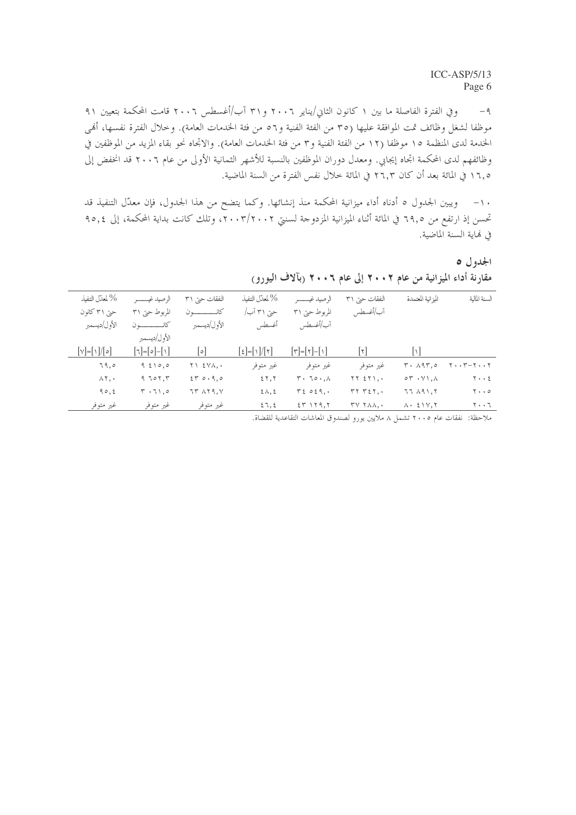وفي الفترة الفاصلة ما بين ١ كانون الثاني/يناير ٢٠٠٦ و٣١ آب/أغسطس ٢٠٠٦ قامت المحكمة بتعيين ٩١  $-\mathfrak{q}$ موظفًا لشغل وظائف تمت الموافقة عليها (٣٥ من الفئة الفنية و٥٦ من فئة الخدمات العامة). وخلال الفترة نفسها، أُهْي الخدمة لدى المنظمة ١٥ موظفا (١٢ من الفئة الفنية و٣ من فئة الخدمات العامة). والاتحاه نحو بقاء المزيد من الموظفين في وظائفهم لدى المحكمة اتجاه إيجابي. ومعدل دوران الموظفين بالنسبة للأشهر الثمانية الأولى من عام ٢٠٠٦ قد انخفض إلى ١٦,٥ في المائة بعد أن كان ٢٦,٣ في المائة خلال نفس الفترة من السنة الماضية.

١٠– ويبين الجدول ٥ أدناه أداء ميزانية المحكمة منذ إنشائها. وكما يتضح من هذا الجدول، فإن معدَّل التنفيذ قد تحسن إذ ارتفع من ٦٩,٥ في المائة أثناء الميزانية المزدوجة لسنتي ٢٠٠٣/٢٠٠٢، وتلك كانت بداية المحكمة، إلى ٩٥,٤ في لهاية السنة الماضية.

الجدول ٥ مقارنة أداء الميزانية من عام ٢٠٠٢ إلى عام ٢٠٠٦ (بآلاف اليورو)

| % لمعدّل التنفيذ              |                                                | النفقات حتى ٣١                       | % لمعدّل التنفيذ        |                            | النفقات حيت ٣١                                                 | الميزانية المعتمدة                           | السنة المالية                       |
|-------------------------------|------------------------------------------------|--------------------------------------|-------------------------|----------------------------|----------------------------------------------------------------|----------------------------------------------|-------------------------------------|
| حتی ۳۱ کانون                  | المربوط حتى ٣١                                 | كانـــــــ                           | حتی ۳۱ آب/              | المربوط حتى ٣١             | آب/أغسطس                                                       |                                              |                                     |
| الأول/ديسمبر                  |                                                | الأول/ديسمبر                         | أغسطس                   | آب/أغسطس                   |                                                                |                                              |                                     |
|                               | الأول/ديسمبر                                   |                                      |                         |                            |                                                                |                                              |                                     |
| $\sqrt{\left  \cdot \right }$ | $\lceil 1 - \lceil 0 \rceil - \lceil 1 \rceil$ | ه                                    | $ \xi  =  \eta / \eta $ | $ \tau = \tau - \Upsilon $ | ا ۱۲                                                           | ا ۱                                          |                                     |
| 79,0                          | 96100                                          | $Y \setminus \Sigma Y \wedge \ldots$ | غير متوفر               | غیر متوفر                  | غير متوفر                                                      | $T \cdot \Lambda$ 9 $T$ , 0                  | $Y \cdot Y - Y \cdot Y$             |
| $\wedge$ $\vee$ , $\cdot$     | $9.705$ , $T$                                  | 250.90                               | 55,5                    | $T \cdot 70 \cdot A$       | $TTST$ $Y$ ,.                                                  | $\circ \tau \cdot \vee \wedge \ldots$        | $Y \cdot \cdot 2$                   |
| 90, 2                         | $T \cdot 71,0$                                 | IT AT9.V                             | $2\lambda$ , 2          | T2029.                     | $rrr$ $r$ $2r$ ,.                                              | 77AA1,7                                      | $\mathbf{y} \cdot \cdot \mathbf{z}$ |
| غير متوفر                     | غير متوفر                                      | غير متوفر                            | 57,5                    | $25$ $159.5$               | $\mathsf{r}\mathsf{v}\mathsf{r}\mathsf{v}\mathsf{v}\mathsf{v}$ | $\lambda$ $\cdot$ $\leq$ $\gamma$ , $\gamma$ | ٢٠٠٦                                |
|                               |                                                |                                      |                         |                            |                                                                |                                              |                                     |

ملاحظة: نفقات عام ٢٠٠٥ تشمل ٨ ملايين يورو لصندوق المعاشات التقاعدية للقضاة.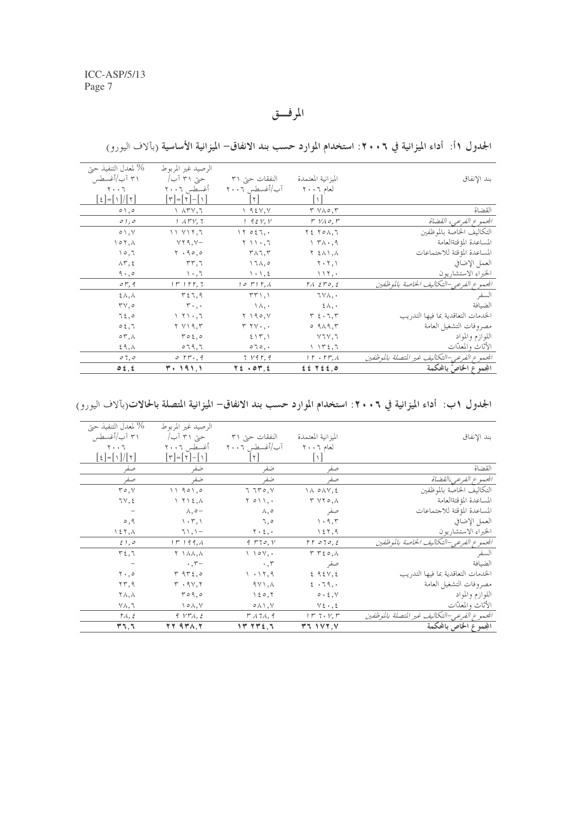المرفق

| % لمعدل التنفيذ حتى                                               | الرصيد غير المربوط                                          |                                         |                                                            |                                                |
|-------------------------------------------------------------------|-------------------------------------------------------------|-----------------------------------------|------------------------------------------------------------|------------------------------------------------|
| ۳۱ آب/أغسطس                                                       | حتی ۳۱ آب/                                                  | النفقات حتى ٣١                          | الميزانية المعتمدة                                         | بند الإنفاق                                    |
| $\mathbf{y} \cdot \mathbf{y}$                                     | أغسطس ٢٠٠٦                                                  | آب/أغسطس ٢٠٠٦                           | لعام ٦٠٠٦                                                  |                                                |
| $\lceil \xi \rceil = \lceil \frac{\xi}{\lceil \xi \rceil} \rceil$ | $ \tau $ $- \tau $ $- \eta $                                | $ \tau $                                |                                                            |                                                |
| $\circ \wedge$ , $\circ$                                          | $\lambda$ $\lambda$ $\mu$ $\lambda$ $\lambda$               | $\big\vee$ 9.2 $\vee$ , $\vee$          | $T V \wedge \circ T$                                       | القضاة                                         |
| 0, 0, 0                                                           | $1.1$ $\Gamma$ $V, 7$                                       | 1.95Y, V                                | $r$ $V \wedge \circ$ , $r$                                 | الجموع الفرعي، القضاة                          |
| $\circ \wedge$ , $\vee$                                           | 11 Y17.7                                                    | 17027.                                  | $Y \xi$ $Y \circ \Lambda$ , $T$                            | التكاليف الخاصة بالموظفين                      |
| $\land \circ \land$                                               | $YY9, V-$                                                   | $\gamma \rightarrow +, \tau$            | $\Upsilon$ $\Upsilon$ $\Lambda$ $\cdot$ , 9                | المساعدة المؤقتةالعامة                         |
| 10,7                                                              | $\mathbf{Y}$ , $\mathbf{9} \circ \mathbf{0}$                | $\mathsf{r}\wedge\mathsf{r},\mathsf{r}$ | Y 211, A                                                   | المساعدة المؤقتة للاجتماعات                    |
| $\Lambda \Upsilon, \xi$                                           | rr,7                                                        | $\lambda$ ,0                            | $\mathbf{Y} \cdot \mathbf{Y}, \mathbf{Y}$                  | العمل الإضافي                                  |
| $9 \cdot 9$                                                       | $\setminus \cdot \,, \top$                                  | $\setminus \cdot \setminus \cdot$       | $\setminus \setminus \setminus$ ,                          | الخبراء الاستشاريون                            |
| $\mathfrak{o} \mathfrak{r}$ , 9                                   | $1 r$ $1 r$ , $7$                                           | $10r$ , $r$ , $r$                       | $\Gamma \wedge \ \xi \Gamma o, \xi$                        | الجمموع الفرعي-التكاليف الخاصة بالموظفين       |
| $2\lambda, \lambda$                                               | T57,9                                                       | $TT \setminus \setminus$                | ٦٧٨,٠                                                      | السفر                                          |
| $\mathbf{r} \vee, \mathbf{0}$                                     | $r \cdot \cdot \cdot$                                       | $\wedge \wedge$ .                       | $\xi \wedge$ ,                                             | الضيافة                                        |
| 75,0                                                              | $\setminus$ $\setminus$ $\setminus$ $\setminus$ $\setminus$ | $Y \setminus 90, V$                     | $\mathbf{r}$ $\epsilon \cdot \mathbf{1}, \mathbf{r}$       | الخدمات التعاقدية بما فيها التدريب             |
| 0.5,7                                                             | ۲ ۷۱۹,۳                                                     | $r r v \cdot$ ,.                        | 0.919,5                                                    | مصروفات التشغيل العامة                         |
| $\circ \tau, \wedge$                                              | $r \circ t, \circ$                                          | 215,1                                   | ۷٦۷,٦                                                      | اللوازم والمواد                                |
| $59, \Lambda$                                                     | 079,7                                                       | $\circ \neg \circ$ , $\cdot$            | $\big\backslash \big\backslash \mathsf{t} \in \mathcal{I}$ | الأثاث والمعدّات                               |
| 07,0                                                              | $\circ$ $rr.9$                                              | 7 V9V, 9                                | $1 r + r r$ , $\lambda$                                    | الجمعوع الفرعبى-التكاليف غير المتصلة بالموظفين |
| 0.5, 5                                                            | ۰, ۱۹۱, ۱                                                   | $Y \xi + \sigma Y, \xi$                 | $225$ $7220$                                               | المجموع الخاصّ بالمحكمة                        |

الجدول ١أ: أداء الميزانية في ٢٠٠٦: استخدام الموارد حسب بند الانفاق– الميزانية الأساسية (بآلاف اليورو)

الجدول ١ب: أداء الميزانية في ٢٠٠٦: استخدام الموارد حسب بند الانفاق– الميزانية المتصلة بالحالات(بآلاف اليورو)

| % لمعدل التنفيذ حتى           | الرصيد غير المربوط                                      |                                                  |                                   |                                              |
|-------------------------------|---------------------------------------------------------|--------------------------------------------------|-----------------------------------|----------------------------------------------|
| ۳۱ آب/أغسطس                   | حتی ۳۱ آب/                                              | النفقات حتى ٣١                                   | الميز انية المعتمدة               | بند الإنفاق                                  |
| 7.7                           | أغسطس ٢٠٠٦                                              | آب/أغسطس ٢٠٠٦                                    | لعام ٢٠٠٦                         |                                              |
| $ \xi  =  \eta / \eta $       | $\lceil r \rceil = \lceil r \rceil - \lceil r \rceil$   | l ۲                                              |                                   |                                              |
| صفر                           | ضفر                                                     | ضفر                                              | صفر                               | القضاة                                       |
| صفر                           | ضفر                                                     | ضفر                                              | صفو                               | المحموع الفرعي،القضاة                        |
| $r \circ v$                   | 11901,0                                                 | 770, 7                                           | $\lambda \circ \lambda \vee, \xi$ | التكاليف الخاصة بالموظفين                    |
| 7V, 2                         | $\Upsilon$ $\Upsilon$ $\Upsilon$ $\Upsilon$ , $\Lambda$ | $Y \circ Y$ ,.                                   | Y Y Y O, A                        | المساعدة المؤقتةالعامة                       |
|                               | $\wedge, \circ -$                                       | Л, о                                             | صفر                               | المساعدة المؤقتة للاجتماعات                  |
| $\circ$ , 9                   | $\langle \cdot, \cdot \rangle$                          | ٦,٥                                              | $\cdot$ 9, $\tau$                 | العمل الإضافي                                |
| ۱ ٤ ٢ , ٨                     | $71,1-$                                                 | $\mathbf{y} \cdot \mathbf{z}, \cdot$             | 157,9                             | الخبراء الاستشاريون                          |
| $\xi$ , $\circ$               | $1r$ $1q$                                               | 9770, V                                          | rr070,8                           | الجمعوع الفرعي-التكاليف الخاصة بالموظفين     |
| $r_{\xi,7}$                   | Y \ \ \ \, \                                            | $\setminus$ $\setminus$ $\circ$ $\vee$ , $\cdot$ | $T T \xi \circ A$                 | السفر                                        |
|                               | $\cdot$ , $\tau-$                                       | $\cdot$ , $\tau$                                 | صفر                               | الضيافة                                      |
| $\mathbf{Y} \cdot \mathbf{0}$ | T9T5,0                                                  | 1.17,9                                           | 292V,2                            | الخدمات التعاقدية بما فيها التدريب           |
| $\Upsilon \Upsilon$ , 9       | $\mathbf{r}$ . $9\mathbf{v}, \mathbf{r}$                | $9Y1, \lambda$                                   | $2 \cdot 79$ ,                    | مصروفات التشغيل العامة                       |
| $\Upsilon \wedge, \wedge$     | $r \circ q, \circ$                                      | 150,7                                            | 0.5, V                            | اللوازم والمواد                              |
| ٧٨,٦                          | $\wedge \circ \wedge, \vee$                             | $0 \wedge \wedge, \vee$                          | $V\xi \cdot , \xi$                | الأثاث والمعدّات                             |
| $\mathsf{TA}, \xi$            | 9. YFA, 2                                               | 17174, 9                                         | $1 r 7 \cdot Y, r$                | الجموع الفرعي-التكاليف غير المتصلة بالموظفين |
| 47,7                          | $YY$ ard, $Y$                                           | 14.742,7                                         | Y11Y7.                            | المجموع الخاص بالمحكمة                       |
|                               |                                                         |                                                  |                                   |                                              |